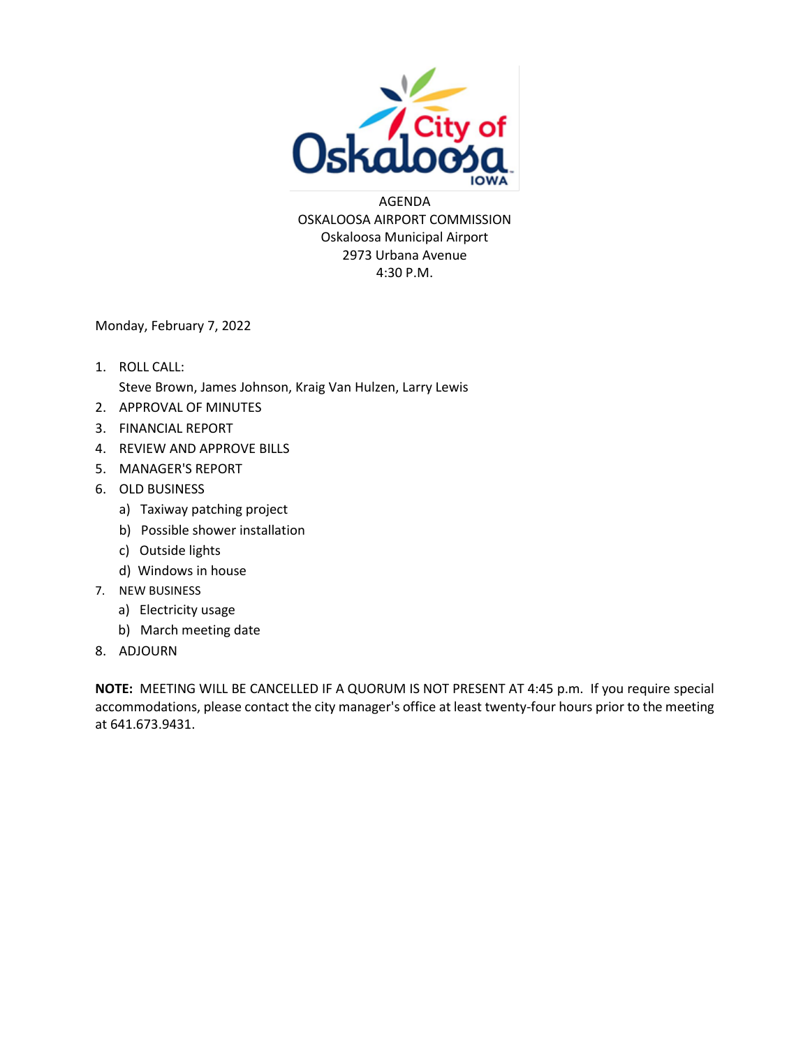

AGENDA OSKALOOSA AIRPORT COMMISSION Oskaloosa Municipal Airport 2973 Urbana Avenue 4:30 P.M.

Monday, February 7, 2022

- 1. ROLL CALL: Steve Brown, James Johnson, Kraig Van Hulzen, Larry Lewis
- 2. APPROVAL OF MINUTES
- 3. FINANCIAL REPORT
- 4. REVIEW AND APPROVE BILLS
- 5. MANAGER'S REPORT
- 6. OLD BUSINESS
	- a) Taxiway patching project
	- b) Possible shower installation
	- c) Outside lights
	- d) Windows in house
- 7. NEW BUSINESS
	- a) Electricity usage
	- b) March meeting date
- 8. ADJOURN

**NOTE:** MEETING WILL BE CANCELLED IF A QUORUM IS NOT PRESENT AT 4:45 p.m. If you require special accommodations, please contact the city manager's office at least twenty-four hours prior to the meeting at 641.673.9431.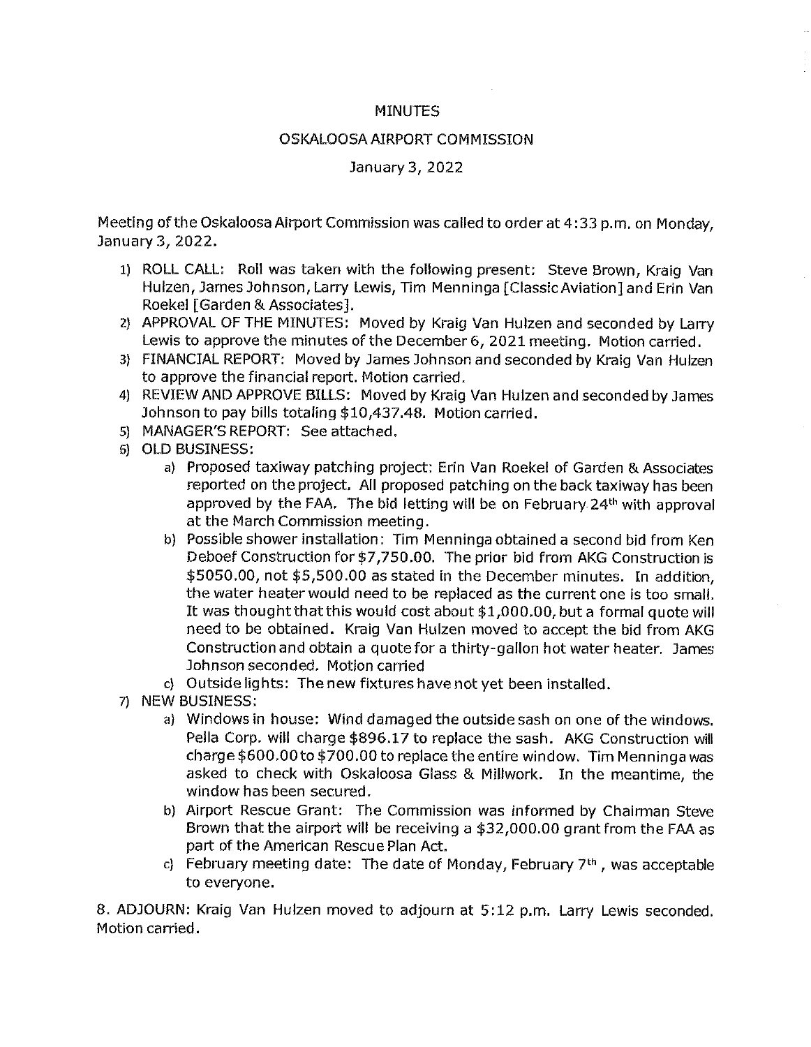#### **MINUTES**

#### OSKALOOSA AIRPORT COMMISSION

#### January 3, 2022

Meeting of the Oskaloosa Airport Commission was called to order at 4:33 p.m. on Monday, January 3, 2022.

- 1) ROLL CALL: Roll was taken with the following present: Steve Brown, Kraig Van Hulzen, James Johnson, Larry Lewis, Tim Menninga [Classic Aviation] and Erin Van Roekel [Garden & Associates].
- 2) APPROVAL OF THE MINUTES: Moved by Kraig Van Hulzen and seconded by Larry Lewis to approve the minutes of the December 6, 2021 meeting. Motion carried.
- 3) FINANCIAL REPORT: Moved by James Johnson and seconded by Kraig Van Hulzen to approve the financial report. Motion carried.
- 4) REVIEW AND APPROVE BILLS: Moved by Kraig Van Hulzen and seconded by James Johnson to pay bills totaling \$10,437.48. Motion carried.
- 5) MANAGER'S REPORT: See attached.
- 6) OLD BUSINESS:
	- a) Proposed taxiway patching project: Erin Van Roekel of Garden & Associates reported on the project. All proposed patching on the back taxiway has been approved by the FAA. The bid letting will be on February 24th with approval at the March Commission meeting.
	- b) Possible shower installation: Tim Menninga obtained a second bid from Ken Deboef Construction for \$7,750.00. The prior bid from AKG Construction is \$5050.00, not \$5,500.00 as stated in the December minutes. In addition. the water heater would need to be replaced as the current one is too small. It was thought that this would cost about \$1,000.00, but a formal quote will need to be obtained. Kraig Van Hulzen moved to accept the bid from AKG Construction and obtain a quote for a thirty-gallon hot water heater. James Johnson seconded. Motion carried
	- c) Outside lights: The new fixtures have not yet been installed.
- 7) NEW BUSINESS:
	- a) Windows in house: Wind damaged the outside sash on one of the windows. Pella Corp. will charge \$896.17 to replace the sash. AKG Construction will charge \$600.00 to \$700.00 to replace the entire window. Tim Menninga was asked to check with Oskaloosa Glass & Millwork. In the meantime, the window has been secured.
	- b) Airport Rescue Grant: The Commission was informed by Chairman Steve Brown that the airport will be receiving a \$32,000.00 grant from the FAA as part of the American Rescue Plan Act.
	- c) February meeting date: The date of Monday, February  $7<sup>th</sup>$ , was acceptable to everyone.

8. ADJOURN: Kraig Van Hulzen moved to adjourn at 5:12 p.m. Larry Lewis seconded. Motion carried.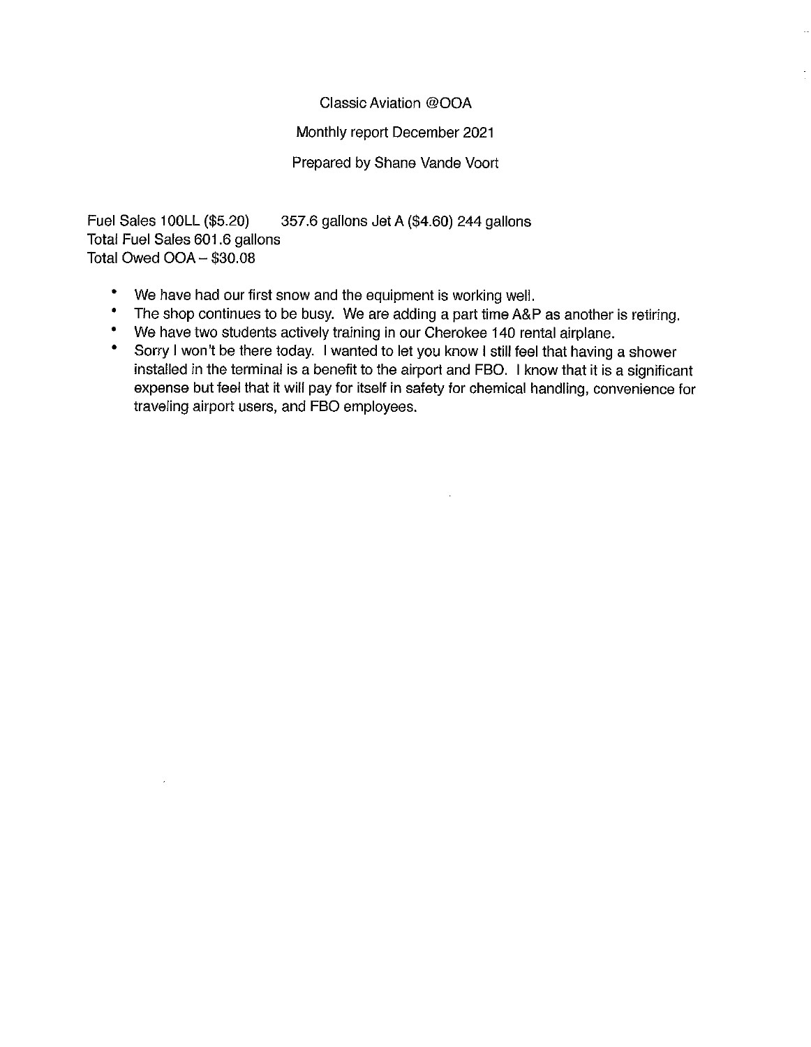#### Classic Aviation @OOA

#### Monthly report December 2021

#### Prepared by Shane Vande Voort

Fuel Sales 100LL (\$5.20) 357.6 gallons Jet A (\$4.60) 244 gallons Total Fuel Sales 601.6 gallons Total Owed OOA - \$30.08

- $\bullet$ We have had our first snow and the equipment is working well.
- $\bullet$ The shop continues to be busy. We are adding a part time A&P as another is retiring.
- We have two students actively training in our Cherokee 140 rental airplane.  $\bullet$
- $\bullet$ Sorry I won't be there today. I wanted to let you know I still feel that having a shower installed in the terminal is a benefit to the airport and FBO. I know that it is a significant expense but feel that it will pay for itself in safety for chemical handling, convenience for traveling airport users, and FBO employees.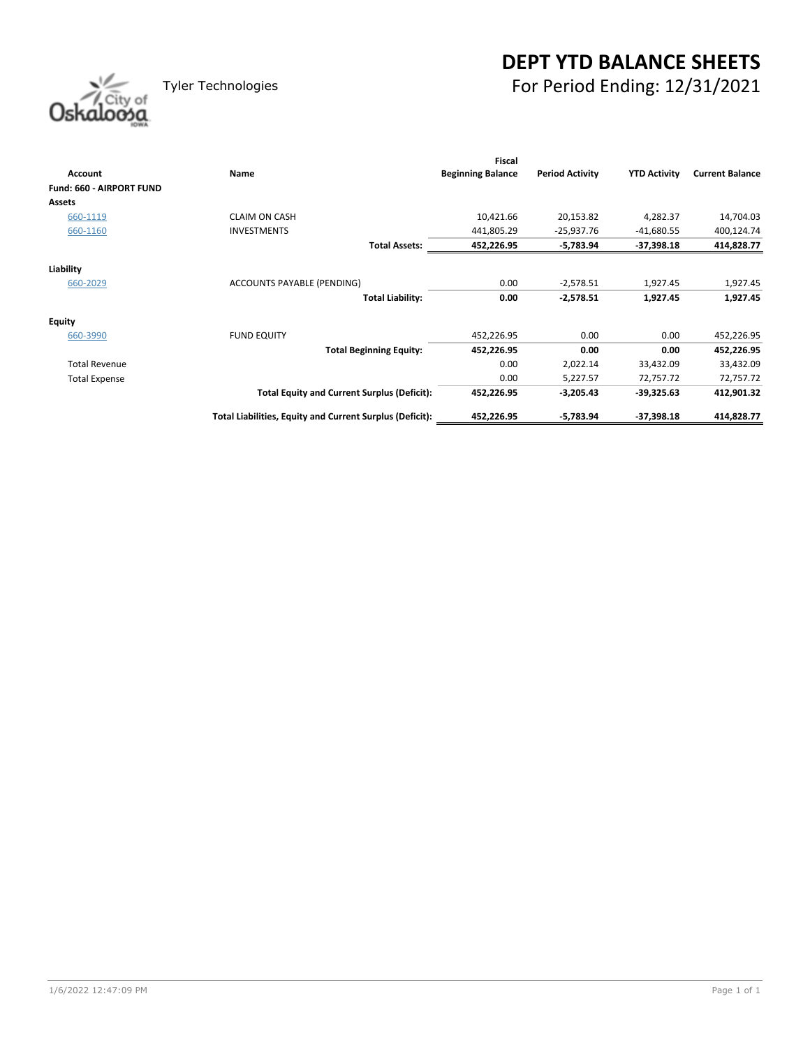### **DEPT YTD BALANCE SHEETS** Tyler Technologies For Period Ending: 12/31/2021



| <b>Account</b>                  | Name                                                     | Fiscal<br><b>Beginning Balance</b> | <b>Period Activity</b> | <b>YTD Activity</b> | <b>Current Balance</b> |
|---------------------------------|----------------------------------------------------------|------------------------------------|------------------------|---------------------|------------------------|
| <b>Fund: 660 - AIRPORT FUND</b> |                                                          |                                    |                        |                     |                        |
| <b>Assets</b>                   |                                                          |                                    |                        |                     |                        |
| 660-1119                        | <b>CLAIM ON CASH</b>                                     | 10,421.66                          | 20,153.82              | 4,282.37            | 14,704.03              |
| 660-1160                        | <b>INVESTMENTS</b>                                       | 441,805.29                         | $-25,937.76$           | $-41,680.55$        | 400,124.74             |
|                                 | <b>Total Assets:</b>                                     | 452,226.95                         | -5,783.94              | $-37,398.18$        | 414,828.77             |
| Liability                       |                                                          |                                    |                        |                     |                        |
| 660-2029                        | ACCOUNTS PAYABLE (PENDING)                               | 0.00                               | $-2,578.51$            | 1,927.45            | 1,927.45               |
|                                 | <b>Total Liability:</b>                                  | 0.00                               | $-2,578.51$            | 1,927.45            | 1,927.45               |
| Equity                          |                                                          |                                    |                        |                     |                        |
| 660-3990                        | <b>FUND EQUITY</b>                                       | 452,226.95                         | 0.00                   | 0.00                | 452,226.95             |
|                                 | <b>Total Beginning Equity:</b>                           | 452,226.95                         | 0.00                   | 0.00                | 452,226.95             |
| <b>Total Revenue</b>            |                                                          | 0.00                               | 2,022.14               | 33,432.09           | 33,432.09              |
| <b>Total Expense</b>            |                                                          | 0.00                               | 5,227.57               | 72,757.72           | 72,757.72              |
|                                 | <b>Total Equity and Current Surplus (Deficit):</b>       | 452,226.95                         | $-3,205.43$            | -39,325.63          | 412,901.32             |
|                                 | Total Liabilities, Equity and Current Surplus (Deficit): | 452,226.95                         | $-5,783.94$            | $-37,398.18$        | 414,828.77             |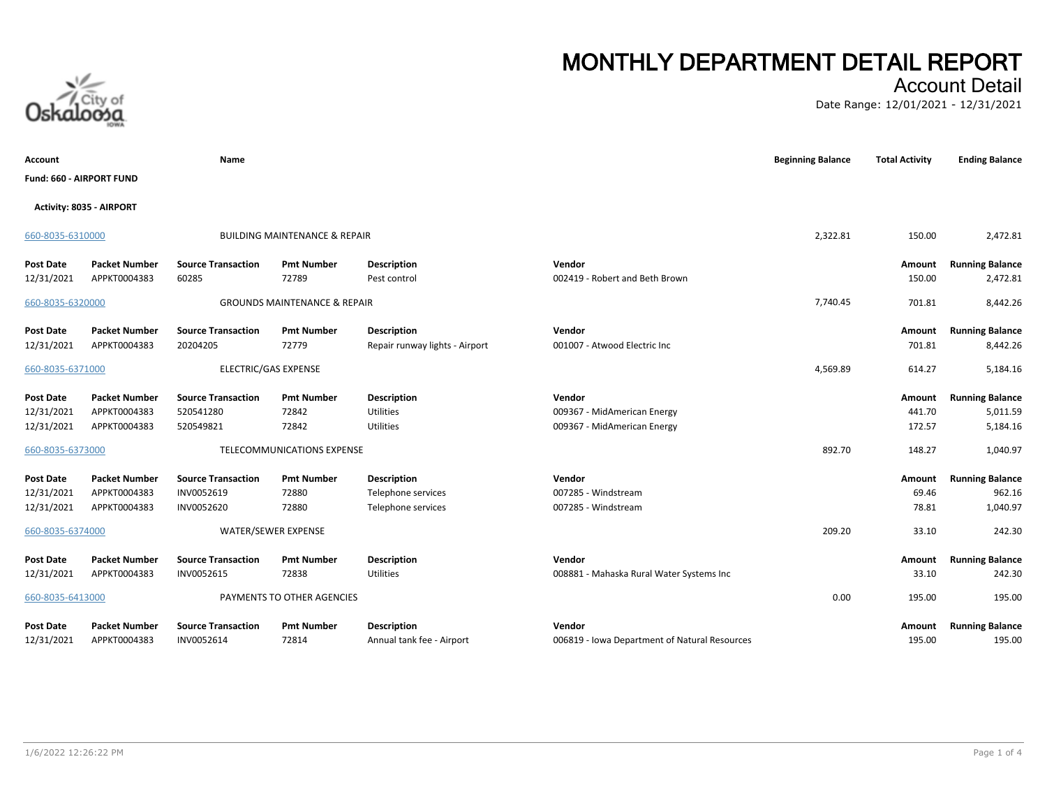### Account Detail

Date Range: 12/01/2021 - 12/31/2021

| Account                        |                                      | Name                                    |                                          |                                                 |                                                         | <b>Beginning Balance</b> | <b>Total Activity</b> | <b>Ending Balance</b>            |
|--------------------------------|--------------------------------------|-----------------------------------------|------------------------------------------|-------------------------------------------------|---------------------------------------------------------|--------------------------|-----------------------|----------------------------------|
| Fund: 660 - AIRPORT FUND       |                                      |                                         |                                          |                                                 |                                                         |                          |                       |                                  |
| Activity: 8035 - AIRPORT       |                                      |                                         |                                          |                                                 |                                                         |                          |                       |                                  |
| 660-8035-6310000               |                                      |                                         | <b>BUILDING MAINTENANCE &amp; REPAIR</b> |                                                 |                                                         | 2,322.81                 | 150.00                | 2,472.81                         |
| <b>Post Date</b>               | <b>Packet Number</b>                 | <b>Source Transaction</b>               | <b>Pmt Number</b>                        | <b>Description</b>                              | Vendor                                                  |                          | Amount                | <b>Running Balance</b>           |
| 12/31/2021                     | APPKT0004383                         | 60285                                   | 72789                                    | Pest control                                    | 002419 - Robert and Beth Brown                          |                          | 150.00                | 2,472.81                         |
| 660-8035-6320000               |                                      |                                         | <b>GROUNDS MAINTENANCE &amp; REPAIR</b>  |                                                 |                                                         | 7,740.45                 | 701.81                | 8,442.26                         |
| <b>Post Date</b>               | <b>Packet Number</b>                 | <b>Source Transaction</b>               | <b>Pmt Number</b>                        | <b>Description</b>                              | Vendor                                                  |                          | Amount                | <b>Running Balance</b>           |
| 12/31/2021                     | APPKT0004383                         | 20204205                                | 72779                                    | Repair runway lights - Airport                  | 001007 - Atwood Electric Inc                            |                          | 701.81                | 8,442.26                         |
| 660-8035-6371000               |                                      | ELECTRIC/GAS EXPENSE                    |                                          |                                                 |                                                         | 4,569.89                 | 614.27                | 5,184.16                         |
| <b>Post Date</b>               | <b>Packet Number</b>                 | <b>Source Transaction</b>               | <b>Pmt Number</b>                        | <b>Description</b>                              | Vendor                                                  |                          | Amount                | <b>Running Balance</b>           |
| 12/31/2021                     | APPKT0004383                         | 520541280                               | 72842                                    | Utilities                                       | 009367 - MidAmerican Energy                             |                          | 441.70                | 5,011.59                         |
| 12/31/2021                     | APPKT0004383                         | 520549821                               | 72842                                    | Utilities                                       | 009367 - MidAmerican Energy                             |                          | 172.57                | 5,184.16                         |
| 660-8035-6373000               |                                      |                                         | TELECOMMUNICATIONS EXPENSE               |                                                 |                                                         | 892.70                   | 148.27                | 1,040.97                         |
| <b>Post Date</b>               | <b>Packet Number</b>                 | <b>Source Transaction</b>               | <b>Pmt Number</b>                        | <b>Description</b>                              | Vendor                                                  |                          | Amount                | <b>Running Balance</b>           |
| 12/31/2021                     | APPKT0004383                         | INV0052619                              | 72880                                    | Telephone services                              | 007285 - Windstream                                     |                          | 69.46                 | 962.16                           |
| 12/31/2021                     | APPKT0004383                         | INV0052620                              | 72880                                    | Telephone services                              | 007285 - Windstream                                     |                          | 78.81                 | 1,040.97                         |
| 660-8035-6374000               |                                      | WATER/SEWER EXPENSE                     |                                          |                                                 |                                                         | 209.20                   | 33.10                 | 242.30                           |
| <b>Post Date</b>               | <b>Packet Number</b>                 | <b>Source Transaction</b>               | <b>Pmt Number</b>                        | <b>Description</b>                              | Vendor                                                  |                          | Amount                | <b>Running Balance</b>           |
| 12/31/2021                     | APPKT0004383                         | INV0052615                              | 72838                                    | Utilities                                       | 008881 - Mahaska Rural Water Systems Inc                |                          | 33.10                 | 242.30                           |
| 660-8035-6413000               |                                      |                                         | PAYMENTS TO OTHER AGENCIES               |                                                 |                                                         | 0.00                     | 195.00                | 195.00                           |
| <b>Post Date</b><br>12/31/2021 | <b>Packet Number</b><br>APPKT0004383 | <b>Source Transaction</b><br>INV0052614 | <b>Pmt Number</b><br>72814               | <b>Description</b><br>Annual tank fee - Airport | Vendor<br>006819 - Iowa Department of Natural Resources |                          | Amount<br>195.00      | <b>Running Balance</b><br>195.00 |

City of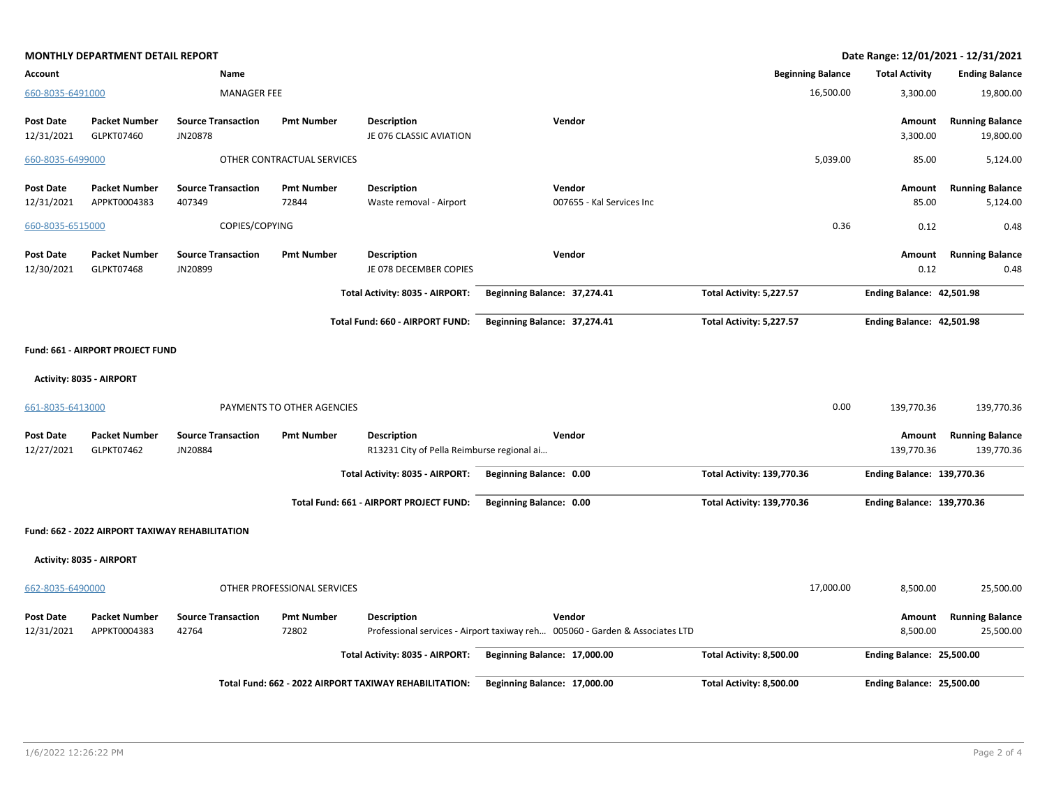|                                | <b>MONTHLY DEPARTMENT DETAIL REPORT</b>         |                                      |                             |                                                                  |                                                                                        |                                   |           |                                   | Date Range: 12/01/2021 - 12/31/2021  |
|--------------------------------|-------------------------------------------------|--------------------------------------|-----------------------------|------------------------------------------------------------------|----------------------------------------------------------------------------------------|-----------------------------------|-----------|-----------------------------------|--------------------------------------|
| Account                        |                                                 | Name                                 |                             |                                                                  |                                                                                        | <b>Beginning Balance</b>          |           | <b>Total Activity</b>             | <b>Ending Balance</b>                |
| 660-8035-6491000               |                                                 | <b>MANAGER FEE</b>                   |                             |                                                                  |                                                                                        |                                   | 16,500.00 | 3,300.00                          | 19,800.00                            |
| <b>Post Date</b><br>12/31/2021 | <b>Packet Number</b><br>GLPKT07460              | <b>Source Transaction</b><br>JN20878 | <b>Pmt Number</b>           | Description<br>JE 076 CLASSIC AVIATION                           | Vendor                                                                                 |                                   |           | Amount<br>3,300.00                | <b>Running Balance</b><br>19,800.00  |
| 660-8035-6499000               |                                                 |                                      | OTHER CONTRACTUAL SERVICES  |                                                                  |                                                                                        |                                   | 5,039.00  | 85.00                             | 5,124.00                             |
| <b>Post Date</b><br>12/31/2021 | <b>Packet Number</b><br>APPKT0004383            | <b>Source Transaction</b><br>407349  | <b>Pmt Number</b><br>72844  | <b>Description</b><br>Waste removal - Airport                    | Vendor<br>007655 - Kal Services Inc                                                    |                                   |           | Amount<br>85.00                   | <b>Running Balance</b><br>5,124.00   |
| 660-8035-6515000               |                                                 | COPIES/COPYING                       |                             |                                                                  |                                                                                        |                                   | 0.36      | 0.12                              | 0.48                                 |
| <b>Post Date</b><br>12/30/2021 | <b>Packet Number</b><br><b>GLPKT07468</b>       | <b>Source Transaction</b><br>JN20899 | <b>Pmt Number</b>           | <b>Description</b><br>JE 078 DECEMBER COPIES                     | Vendor                                                                                 |                                   |           | Amount<br>0.12                    | <b>Running Balance</b><br>0.48       |
|                                |                                                 |                                      |                             | Total Activity: 8035 - AIRPORT:                                  | Beginning Balance: 37,274.41                                                           | Total Activity: 5,227.57          |           | Ending Balance: 42,501.98         |                                      |
|                                |                                                 |                                      |                             | Total Fund: 660 - AIRPORT FUND:                                  | Beginning Balance: 37,274.41                                                           | Total Activity: 5,227.57          |           | Ending Balance: 42,501.98         |                                      |
|                                | Fund: 661 - AIRPORT PROJECT FUND                |                                      |                             |                                                                  |                                                                                        |                                   |           |                                   |                                      |
|                                | Activity: 8035 - AIRPORT                        |                                      |                             |                                                                  |                                                                                        |                                   |           |                                   |                                      |
| 661-8035-6413000               |                                                 |                                      | PAYMENTS TO OTHER AGENCIES  |                                                                  |                                                                                        |                                   | 0.00      | 139,770.36                        | 139,770.36                           |
| <b>Post Date</b><br>12/27/2021 | <b>Packet Number</b><br>GLPKT07462              | <b>Source Transaction</b><br>JN20884 | <b>Pmt Number</b>           | <b>Description</b><br>R13231 City of Pella Reimburse regional ai | Vendor                                                                                 |                                   |           | Amount<br>139,770.36              | <b>Running Balance</b><br>139,770.36 |
|                                |                                                 |                                      |                             | Total Activity: 8035 - AIRPORT:                                  | Beginning Balance: 0.00                                                                | <b>Total Activity: 139,770.36</b> |           | <b>Ending Balance: 139,770.36</b> |                                      |
|                                |                                                 |                                      |                             | Total Fund: 661 - AIRPORT PROJECT FUND:                          | Beginning Balance: 0.00                                                                | <b>Total Activity: 139,770.36</b> |           | <b>Ending Balance: 139,770.36</b> |                                      |
|                                | Fund: 662 - 2022 AIRPORT TAXIWAY REHABILITATION |                                      |                             |                                                                  |                                                                                        |                                   |           |                                   |                                      |
|                                | Activity: 8035 - AIRPORT                        |                                      |                             |                                                                  |                                                                                        |                                   |           |                                   |                                      |
| 662-8035-6490000               |                                                 |                                      | OTHER PROFESSIONAL SERVICES |                                                                  |                                                                                        |                                   | 17,000.00 | 8,500.00                          | 25,500.00                            |
| <b>Post Date</b><br>12/31/2021 | <b>Packet Number</b><br>APPKT0004383            | <b>Source Transaction</b><br>42764   | <b>Pmt Number</b><br>72802  | <b>Description</b>                                               | Vendor<br>Professional services - Airport taxiway reh 005060 - Garden & Associates LTD |                                   |           | Amount<br>8,500.00                | <b>Running Balance</b><br>25,500.00  |
|                                |                                                 |                                      |                             | Total Activity: 8035 - AIRPORT:                                  | Beginning Balance: 17,000.00                                                           | Total Activity: 8,500.00          |           | <b>Ending Balance: 25,500.00</b>  |                                      |
|                                |                                                 |                                      |                             | Total Fund: 662 - 2022 AIRPORT TAXIWAY REHABILITATION:           | Beginning Balance: 17,000.00                                                           | Total Activity: 8,500.00          |           | Ending Balance: 25,500.00         |                                      |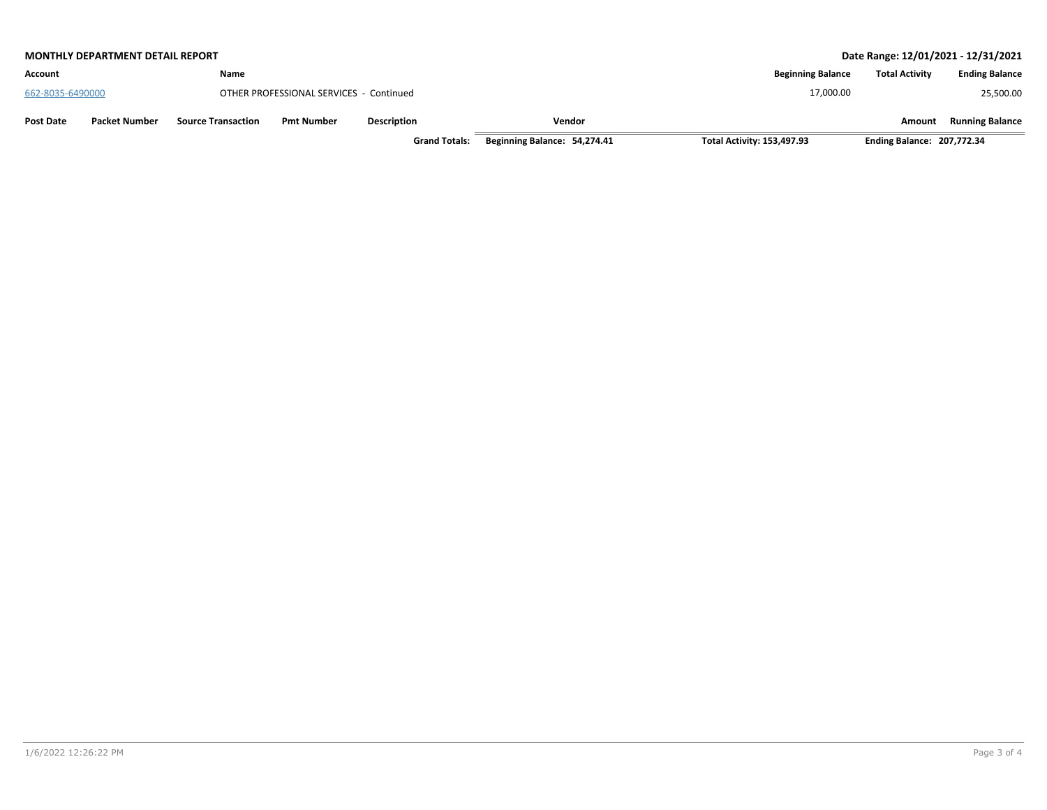| <b>MONTHLY DEPARTMENT DETAIL REPORT</b>  |                           |                                         |                    |        |                          |                       | Date Range: 12/01/2021 - 12/31/2021 |
|------------------------------------------|---------------------------|-----------------------------------------|--------------------|--------|--------------------------|-----------------------|-------------------------------------|
| Account                                  | Name                      |                                         |                    |        | <b>Beginning Balance</b> | <b>Total Activity</b> | <b>Ending Balance</b>               |
| 662-8035-6490000                         |                           | OTHER PROFESSIONAL SERVICES - Continued |                    |        | 17,000.00                |                       | 25,500.00                           |
| <b>Packet Number</b><br><b>Post Date</b> | <b>Source Transaction</b> | <b>Pmt Number</b>                       | <b>Description</b> | Vendor |                          | Amount                | <b>Running Balance</b>              |

**Grand Totals: Beginning Balance: 54,274.41 Total Activity: 153,497.93 Ending Balance: 207,772.34**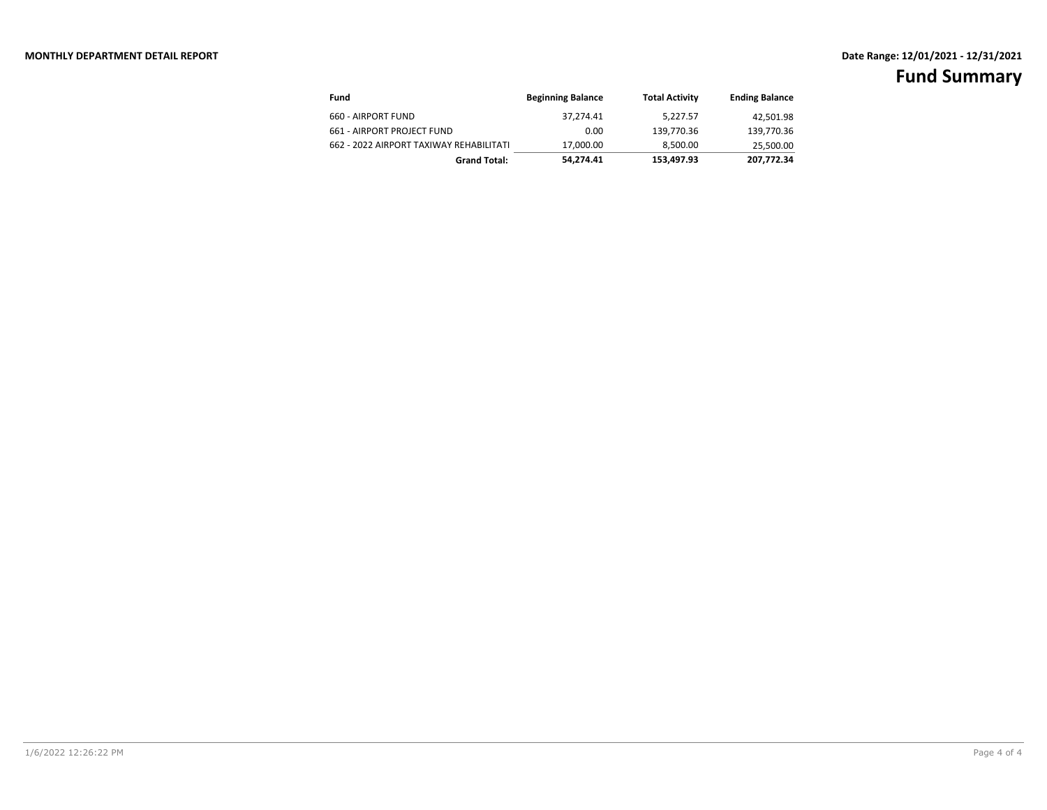| Fund                                    | <b>Beginning Balance</b> | <b>Total Activity</b> | <b>Ending Balance</b> |
|-----------------------------------------|--------------------------|-----------------------|-----------------------|
| 660 - AIRPORT FUND                      | 37.274.41                | 5,227.57              | 42,501.98             |
| 661 - AIRPORT PROJECT FUND              | 0.00                     | 139,770.36            | 139,770.36            |
| 662 - 2022 AIRPORT TAXIWAY REHABILITATI | 17,000.00                | 8,500.00              | 25,500.00             |
| <b>Grand Total:</b>                     | 54.274.41                | 153.497.93            | 207,772.34            |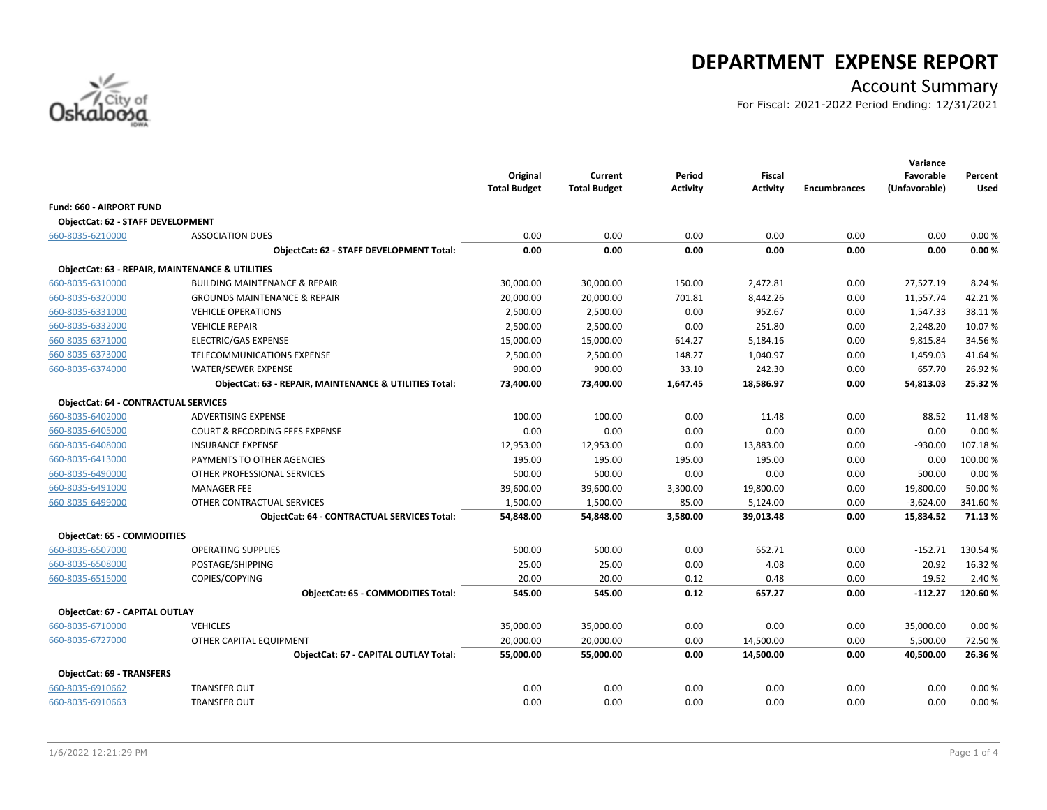

## **DEPARTMENT EXPENSE REPORT**

### Account Summary

For Fiscal: 2021-2022 Period Ending: 12/31/2021

|                                             |                                                            | Original<br><b>Total Budget</b> | Current<br><b>Total Budget</b> | Period<br><b>Activity</b> | <b>Fiscal</b><br><b>Activity</b> | <b>Encumbrances</b> | Variance<br>Favorable<br>(Unfavorable) | Percent<br><b>Used</b> |
|---------------------------------------------|------------------------------------------------------------|---------------------------------|--------------------------------|---------------------------|----------------------------------|---------------------|----------------------------------------|------------------------|
| <b>Fund: 660 - AIRPORT FUND</b>             |                                                            |                                 |                                |                           |                                  |                     |                                        |                        |
| <b>ObjectCat: 62 - STAFF DEVELOPMENT</b>    |                                                            |                                 |                                |                           |                                  |                     |                                        |                        |
| 660-8035-6210000                            | <b>ASSOCIATION DUES</b>                                    | 0.00                            | 0.00                           | 0.00                      | 0.00                             | 0.00                | 0.00                                   | 0.00%                  |
|                                             | ObjectCat: 62 - STAFF DEVELOPMENT Total:                   | 0.00                            | 0.00                           | 0.00                      | 0.00                             | 0.00                | 0.00                                   | 0.00%                  |
|                                             | <b>ObjectCat: 63 - REPAIR, MAINTENANCE &amp; UTILITIES</b> |                                 |                                |                           |                                  |                     |                                        |                        |
| 660-8035-6310000                            | <b>BUILDING MAINTENANCE &amp; REPAIR</b>                   | 30,000.00                       | 30,000.00                      | 150.00                    | 2,472.81                         | 0.00                | 27,527.19                              | 8.24 %                 |
| 660-8035-6320000                            | <b>GROUNDS MAINTENANCE &amp; REPAIR</b>                    | 20,000.00                       | 20,000.00                      | 701.81                    | 8,442.26                         | 0.00                | 11,557.74                              | 42.21%                 |
| 660-8035-6331000                            | <b>VEHICLE OPERATIONS</b>                                  | 2,500.00                        | 2,500.00                       | 0.00                      | 952.67                           | 0.00                | 1,547.33                               | 38.11%                 |
| 660-8035-6332000                            | <b>VEHICLE REPAIR</b>                                      | 2,500.00                        | 2,500.00                       | 0.00                      | 251.80                           | 0.00                | 2,248.20                               | 10.07%                 |
| 660-8035-6371000                            | <b>ELECTRIC/GAS EXPENSE</b>                                | 15,000.00                       | 15,000.00                      | 614.27                    | 5,184.16                         | 0.00                | 9,815.84                               | 34.56%                 |
| 660-8035-6373000                            | TELECOMMUNICATIONS EXPENSE                                 | 2,500.00                        | 2,500.00                       | 148.27                    | 1,040.97                         | 0.00                | 1,459.03                               | 41.64%                 |
| 660-8035-6374000                            | <b>WATER/SEWER EXPENSE</b>                                 | 900.00                          | 900.00                         | 33.10                     | 242.30                           | 0.00                | 657.70                                 | 26.92%                 |
|                                             | ObjectCat: 63 - REPAIR, MAINTENANCE & UTILITIES Total:     | 73,400.00                       | 73,400.00                      | 1,647.45                  | 18,586.97                        | 0.00                | 54,813.03                              | 25.32%                 |
| <b>ObjectCat: 64 - CONTRACTUAL SERVICES</b> |                                                            |                                 |                                |                           |                                  |                     |                                        |                        |
| 660-8035-6402000                            | <b>ADVERTISING EXPENSE</b>                                 | 100.00                          | 100.00                         | 0.00                      | 11.48                            | 0.00                | 88.52                                  | 11.48%                 |
| 660-8035-6405000                            | <b>COURT &amp; RECORDING FEES EXPENSE</b>                  | 0.00                            | 0.00                           | 0.00                      | 0.00                             | 0.00                | 0.00                                   | 0.00%                  |
| 660-8035-6408000                            | <b>INSURANCE EXPENSE</b>                                   | 12,953.00                       | 12,953.00                      | 0.00                      | 13,883.00                        | 0.00                | $-930.00$                              | 107.18%                |
| 660-8035-6413000                            | PAYMENTS TO OTHER AGENCIES                                 | 195.00                          | 195.00                         | 195.00                    | 195.00                           | 0.00                | 0.00                                   | 100.00%                |
| 660-8035-6490000                            | OTHER PROFESSIONAL SERVICES                                | 500.00                          | 500.00                         | 0.00                      | 0.00                             | 0.00                | 500.00                                 | 0.00%                  |
| 660-8035-6491000                            | <b>MANAGER FEE</b>                                         | 39,600.00                       | 39,600.00                      | 3,300.00                  | 19,800.00                        | 0.00                | 19,800.00                              | 50.00 %                |
| 660-8035-6499000                            | OTHER CONTRACTUAL SERVICES                                 | 1,500.00                        | 1,500.00                       | 85.00                     | 5,124.00                         | 0.00                | $-3,624.00$                            | 341.60%                |
|                                             | <b>ObjectCat: 64 - CONTRACTUAL SERVICES Total:</b>         | 54,848.00                       | 54,848.00                      | 3,580.00                  | 39,013.48                        | 0.00                | 15,834.52                              | 71.13%                 |
| <b>ObjectCat: 65 - COMMODITIES</b>          |                                                            |                                 |                                |                           |                                  |                     |                                        |                        |
| 660-8035-6507000                            | <b>OPERATING SUPPLIES</b>                                  | 500.00                          | 500.00                         | 0.00                      | 652.71                           | 0.00                | $-152.71$                              | 130.54 %               |
| 660-8035-6508000                            | POSTAGE/SHIPPING                                           | 25.00                           | 25.00                          | 0.00                      | 4.08                             | 0.00                | 20.92                                  | 16.32%                 |
| 660-8035-6515000                            | COPIES/COPYING                                             | 20.00                           | 20.00                          | 0.12                      | 0.48                             | 0.00                | 19.52                                  | 2.40 %                 |
|                                             | <b>ObjectCat: 65 - COMMODITIES Total:</b>                  | 545.00                          | 545.00                         | 0.12                      | 657.27                           | 0.00                | $-112.27$                              | 120.60%                |
| <b>ObjectCat: 67 - CAPITAL OUTLAY</b>       |                                                            |                                 |                                |                           |                                  |                     |                                        |                        |
| 660-8035-6710000                            | <b>VEHICLES</b>                                            | 35,000.00                       | 35,000.00                      | 0.00                      | 0.00                             | 0.00                | 35,000.00                              | 0.00%                  |
| 660-8035-6727000                            | OTHER CAPITAL EQUIPMENT                                    | 20,000.00                       | 20,000.00                      | 0.00                      | 14,500.00                        | 0.00                | 5,500.00                               | 72.50%                 |
|                                             | ObjectCat: 67 - CAPITAL OUTLAY Total:                      | 55,000.00                       | 55,000.00                      | 0.00                      | 14,500.00                        | 0.00                | 40,500.00                              | 26.36%                 |
| ObjectCat: 69 - TRANSFERS                   |                                                            |                                 |                                |                           |                                  |                     |                                        |                        |
| 660-8035-6910662                            | <b>TRANSFER OUT</b>                                        | 0.00                            | 0.00                           | 0.00                      | 0.00                             | 0.00                | 0.00                                   | 0.00%                  |
| 660-8035-6910663                            | <b>TRANSFER OUT</b>                                        | 0.00                            | 0.00                           | 0.00                      | 0.00                             | 0.00                | 0.00                                   | 0.00%                  |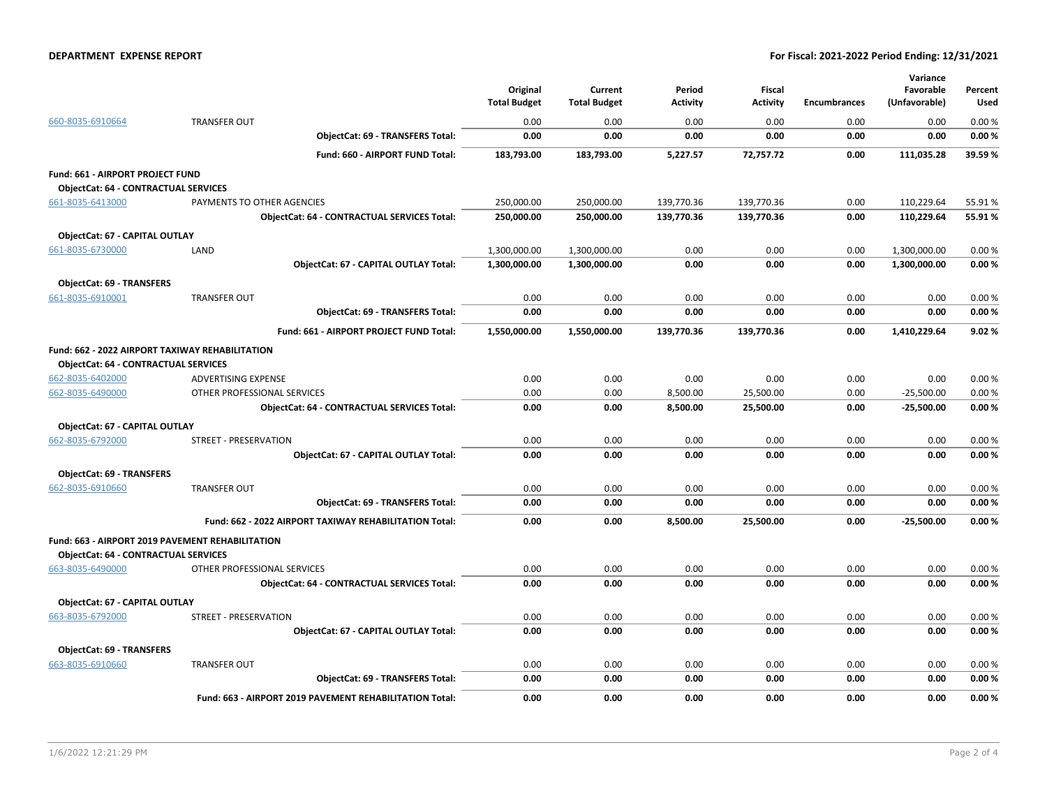#### **DEPARTMENT EXPENSE REPORT For Fiscal: 2021-2022 Period Ending: 12/31/2021**

|                                                 |                                                         | Original<br><b>Total Budget</b> | Current<br><b>Total Budget</b> | Period<br><b>Activity</b> | <b>Fiscal</b><br><b>Activity</b> | <b>Encumbrances</b> | Variance<br>Favorable<br>(Unfavorable) | Percent<br>Used |
|-------------------------------------------------|---------------------------------------------------------|---------------------------------|--------------------------------|---------------------------|----------------------------------|---------------------|----------------------------------------|-----------------|
| 660-8035-6910664                                | <b>TRANSFER OUT</b>                                     | 0.00                            | 0.00                           | 0.00                      | 0.00                             | 0.00                | 0.00                                   | 0.00%           |
|                                                 | <b>ObjectCat: 69 - TRANSFERS Total:</b>                 | 0.00                            | 0.00                           | 0.00                      | 0.00                             | 0.00                | 0.00                                   | 0.00%           |
|                                                 | Fund: 660 - AIRPORT FUND Total:                         | 183,793.00                      | 183,793.00                     | 5,227.57                  | 72,757.72                        | 0.00                | 111,035.28                             | 39.59%          |
| Fund: 661 - AIRPORT PROJECT FUND                |                                                         |                                 |                                |                           |                                  |                     |                                        |                 |
| <b>ObjectCat: 64 - CONTRACTUAL SERVICES</b>     |                                                         |                                 |                                |                           |                                  |                     |                                        |                 |
| 661-8035-6413000                                | PAYMENTS TO OTHER AGENCIES                              | 250,000.00                      | 250,000.00                     | 139,770.36                | 139,770.36                       | 0.00                | 110,229.64                             | 55.91%          |
|                                                 | <b>ObjectCat: 64 - CONTRACTUAL SERVICES Total:</b>      | 250,000.00                      | 250,000.00                     | 139,770.36                | 139,770.36                       | 0.00                | 110,229.64                             | 55.91%          |
| ObjectCat: 67 - CAPITAL OUTLAY                  |                                                         |                                 |                                |                           |                                  |                     |                                        |                 |
| 661-8035-6730000                                | LAND                                                    | 1,300,000.00                    | 1,300,000.00                   | 0.00                      | 0.00                             | 0.00                | 1,300,000.00                           | 0.00%           |
|                                                 | ObjectCat: 67 - CAPITAL OUTLAY Total:                   | 1,300,000.00                    | 1,300,000.00                   | 0.00                      | 0.00                             | 0.00                | 1,300,000.00                           | 0.00%           |
| <b>ObjectCat: 69 - TRANSFERS</b>                |                                                         |                                 |                                |                           |                                  |                     |                                        |                 |
| 661-8035-6910001                                | <b>TRANSFER OUT</b>                                     | 0.00                            | 0.00                           | 0.00                      | 0.00                             | 0.00                | 0.00                                   | 0.00%           |
|                                                 | ObjectCat: 69 - TRANSFERS Total:                        | 0.00                            | 0.00                           | 0.00                      | 0.00                             | 0.00                | 0.00                                   | 0.00%           |
|                                                 | Fund: 661 - AIRPORT PROJECT FUND Total:                 | 1,550,000.00                    | 1,550,000.00                   | 139,770.36                | 139,770.36                       | 0.00                | 1,410,229.64                           | 9.02%           |
| Fund: 662 - 2022 AIRPORT TAXIWAY REHABILITATION |                                                         |                                 |                                |                           |                                  |                     |                                        |                 |
| <b>ObjectCat: 64 - CONTRACTUAL SERVICES</b>     |                                                         |                                 |                                |                           |                                  |                     |                                        |                 |
| 662-8035-6402000                                | ADVERTISING EXPENSE                                     | 0.00                            | 0.00                           | 0.00                      | 0.00                             | 0.00                | 0.00                                   | 0.00%           |
| 662-8035-6490000                                | OTHER PROFESSIONAL SERVICES                             | 0.00                            | 0.00                           | 8,500.00                  | 25,500.00                        | 0.00                | $-25,500.00$                           | 0.00%           |
|                                                 | <b>ObjectCat: 64 - CONTRACTUAL SERVICES Total:</b>      | 0.00                            | 0.00                           | 8,500.00                  | 25,500.00                        | 0.00                | $-25,500.00$                           | 0.00%           |
| <b>ObjectCat: 67 - CAPITAL OUTLAY</b>           |                                                         |                                 |                                |                           |                                  |                     |                                        |                 |
| 662-8035-6792000                                | <b>STREET - PRESERVATION</b>                            | 0.00                            | 0.00                           | 0.00                      | 0.00                             | 0.00                | 0.00                                   | 0.00%           |
|                                                 | ObjectCat: 67 - CAPITAL OUTLAY Total:                   | 0.00                            | 0.00                           | 0.00                      | 0.00                             | 0.00                | 0.00                                   | 0.00%           |
| <b>ObjectCat: 69 - TRANSFERS</b>                |                                                         |                                 |                                |                           |                                  |                     |                                        |                 |
| 662-8035-6910660                                | <b>TRANSFER OUT</b>                                     | 0.00                            | 0.00                           | 0.00                      | 0.00                             | 0.00                | 0.00                                   | 0.00%           |
|                                                 | <b>ObjectCat: 69 - TRANSFERS Total:</b>                 | 0.00                            | 0.00                           | 0.00                      | 0.00                             | 0.00                | 0.00                                   | 0.00%           |
|                                                 | Fund: 662 - 2022 AIRPORT TAXIWAY REHABILITATION Total:  | 0.00                            | 0.00                           | 8,500.00                  | 25,500.00                        | 0.00                | $-25,500.00$                           | 0.00%           |
|                                                 | Fund: 663 - AIRPORT 2019 PAVEMENT REHABILITATION        |                                 |                                |                           |                                  |                     |                                        |                 |
| <b>ObjectCat: 64 - CONTRACTUAL SERVICES</b>     |                                                         |                                 |                                |                           |                                  |                     |                                        |                 |
| 663-8035-6490000                                | OTHER PROFESSIONAL SERVICES                             | 0.00                            | 0.00                           | 0.00                      | 0.00                             | 0.00                | 0.00                                   | 0.00%           |
|                                                 | <b>ObjectCat: 64 - CONTRACTUAL SERVICES Total:</b>      | 0.00                            | 0.00                           | 0.00                      | 0.00                             | 0.00                | 0.00                                   | 0.00%           |
| ObjectCat: 67 - CAPITAL OUTLAY                  |                                                         |                                 |                                |                           |                                  |                     |                                        |                 |
| 663-8035-6792000                                | <b>STREET - PRESERVATION</b>                            | 0.00                            | 0.00                           | 0.00                      | 0.00                             | 0.00                | 0.00                                   | 0.00%           |
|                                                 | ObjectCat: 67 - CAPITAL OUTLAY Total:                   | 0.00                            | 0.00                           | 0.00                      | 0.00                             | 0.00                | 0.00                                   | 0.00%           |
| <b>ObjectCat: 69 - TRANSFERS</b>                |                                                         |                                 |                                |                           |                                  |                     |                                        |                 |
| 663-8035-6910660                                | <b>TRANSFER OUT</b>                                     | 0.00                            | 0.00                           | 0.00                      | 0.00                             | 0.00                | 0.00                                   | 0.00%           |
|                                                 | <b>ObjectCat: 69 - TRANSFERS Total:</b>                 | 0.00                            | 0.00                           | 0.00                      | 0.00                             | 0.00                | 0.00                                   | 0.00%           |
|                                                 | Fund: 663 - AIRPORT 2019 PAVEMENT REHABILITATION Total: | 0.00                            | 0.00                           | 0.00                      | 0.00                             | 0.00                | 0.00                                   | 0.00%           |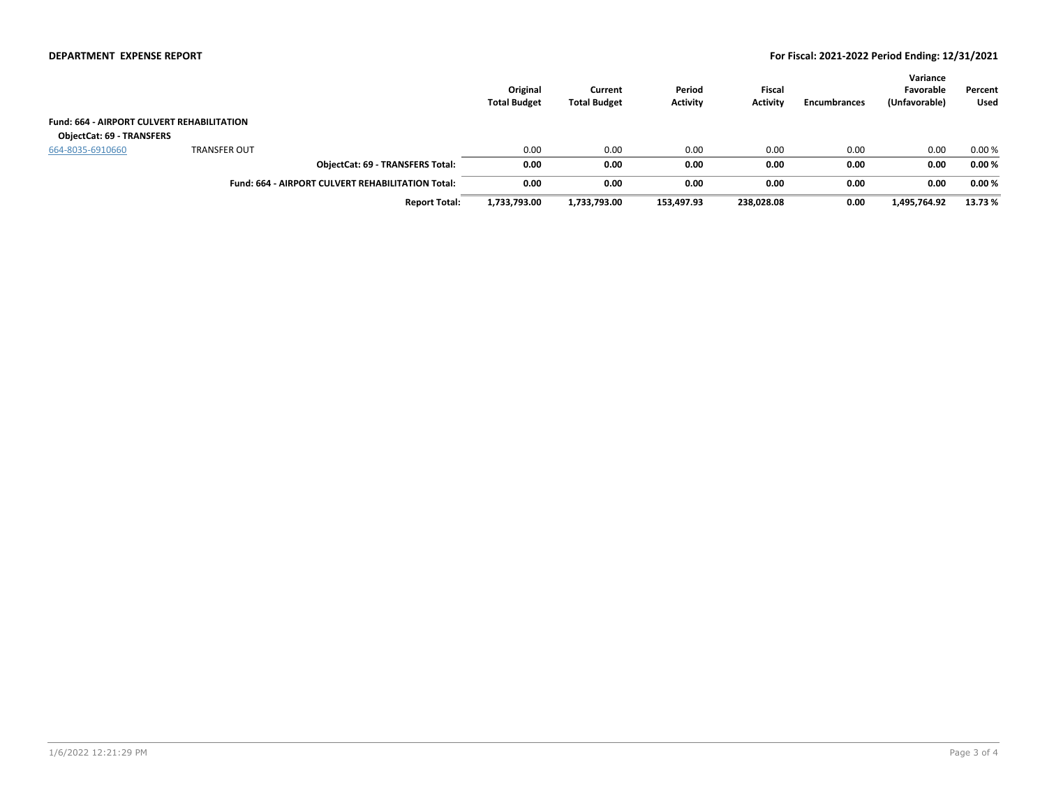|                                                   |                                                          | Original<br><b>Total Budget</b> | Current<br><b>Total Budget</b> | Period<br><b>Activity</b> | <b>Fiscal</b><br><b>Activity</b> | Encumbrances | Variance<br>Favorable<br>(Unfavorable) | Percent<br>Used |
|---------------------------------------------------|----------------------------------------------------------|---------------------------------|--------------------------------|---------------------------|----------------------------------|--------------|----------------------------------------|-----------------|
| <b>Fund: 664 - AIRPORT CULVERT REHABILITATION</b> |                                                          |                                 |                                |                           |                                  |              |                                        |                 |
| <b>ObjectCat: 69 - TRANSFERS</b>                  |                                                          |                                 |                                |                           |                                  |              |                                        |                 |
| 664-8035-6910660                                  | <b>TRANSFER OUT</b>                                      | 0.00                            | 0.00                           | 0.00                      | 0.00                             | 0.00         | 0.00                                   | 0.00%           |
|                                                   | <b>ObjectCat: 69 - TRANSFERS Total:</b>                  | 0.00                            | 0.00                           | 0.00                      | 0.00                             | 0.00         | 0.00                                   | 0.00%           |
|                                                   | <b>Fund: 664 - AIRPORT CULVERT REHABILITATION Total:</b> | 0.00                            | 0.00                           | 0.00                      | 0.00                             | 0.00         | 0.00                                   | 0.00%           |
|                                                   | <b>Report Total:</b>                                     | 1,733,793.00                    | 1,733,793.00                   | 153,497.93                | 238,028.08                       | 0.00         | 1,495,764.92                           | 13.73 %         |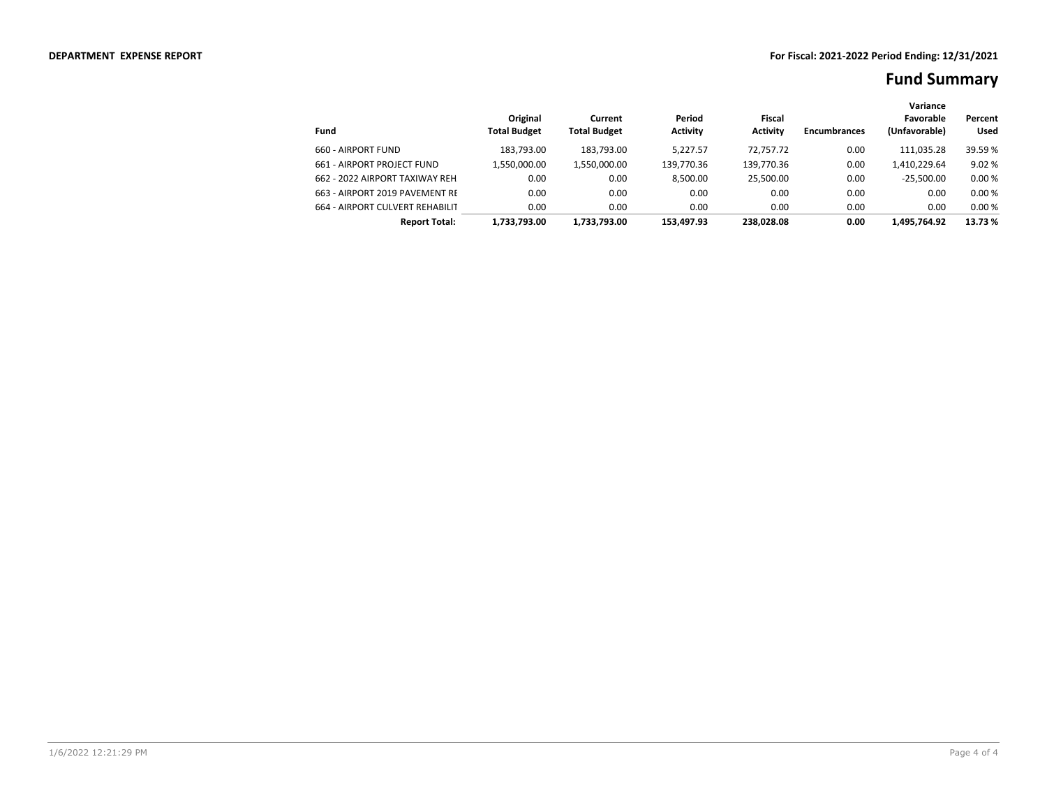|                                 |                                 |                                |                           |                           |                     | Variance                   |                        |
|---------------------------------|---------------------------------|--------------------------------|---------------------------|---------------------------|---------------------|----------------------------|------------------------|
| Fund                            | Original<br><b>Total Budget</b> | Current<br><b>Total Budget</b> | Period<br><b>Activity</b> | Fiscal<br><b>Activity</b> | <b>Encumbrances</b> | Favorable<br>(Unfavorable) | Percent<br><b>Used</b> |
| 660 - AIRPORT FUND              | 183.793.00                      | 183.793.00                     | 5.227.57                  | 72.757.72                 | 0.00                | 111,035.28                 | 39.59 %                |
| 661 - AIRPORT PROJECT FUND      | 1,550,000.00                    | 1,550,000.00                   | 139,770.36                | 139,770.36                | 0.00                | 1,410,229.64               | 9.02%                  |
| 662 - 2022 AIRPORT TAXIWAY REH. | 0.00                            | 0.00                           | 8.500.00                  | 25.500.00                 | 0.00                | $-25.500.00$               | 0.00%                  |
| 663 - AIRPORT 2019 PAVEMENT RE  | 0.00                            | 0.00                           | 0.00                      | 0.00                      | 0.00                | 0.00                       | 0.00%                  |
| 664 - AIRPORT CULVERT REHABILIT | 0.00                            | 0.00                           | 0.00                      | 0.00                      | 0.00                | 0.00                       | 0.00%                  |
| <b>Report Total:</b>            | 1.733.793.00                    | 1.733.793.00                   | 153.497.93                | 238.028.08                | 0.00                | 1.495.764.92               | 13.73 %                |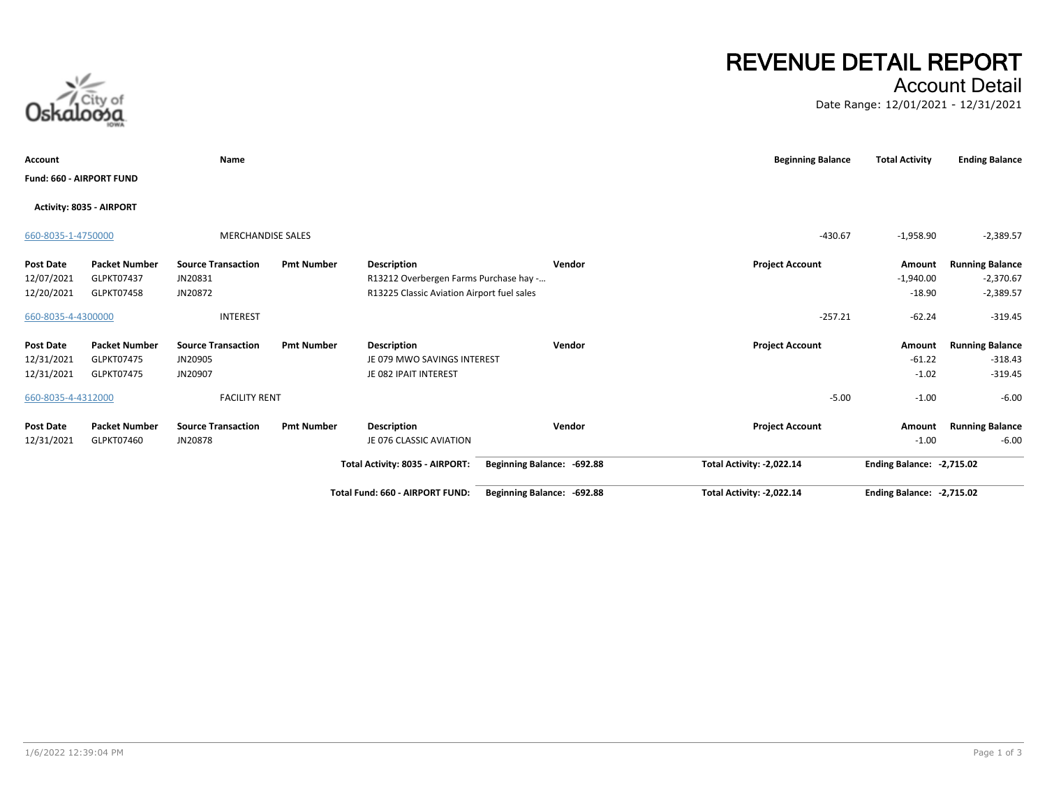# Account Detail

Date Range: 12/01/2021 - 12/31/2021

| Account            |                          | Name                      |                   |                                            |                            | <b>Beginning Balance</b>  | <b>Total Activity</b>            | <b>Ending Balance</b>  |
|--------------------|--------------------------|---------------------------|-------------------|--------------------------------------------|----------------------------|---------------------------|----------------------------------|------------------------|
|                    | Fund: 660 - AIRPORT FUND |                           |                   |                                            |                            |                           |                                  |                        |
|                    | Activity: 8035 - AIRPORT |                           |                   |                                            |                            |                           |                                  |                        |
| 660-8035-1-4750000 |                          | <b>MERCHANDISE SALES</b>  |                   |                                            |                            | $-430.67$                 | $-1,958.90$                      | $-2,389.57$            |
| Post Date          | <b>Packet Number</b>     | <b>Source Transaction</b> | <b>Pmt Number</b> | Description                                | Vendor                     | <b>Project Account</b>    | Amount                           | <b>Running Balance</b> |
| 12/07/2021         | GLPKT07437               | JN20831                   |                   | R13212 Overbergen Farms Purchase hay -     |                            |                           | $-1,940.00$                      | $-2,370.67$            |
| 12/20/2021         | GLPKT07458               | JN20872                   |                   | R13225 Classic Aviation Airport fuel sales |                            |                           | $-18.90$                         | $-2,389.57$            |
| 660-8035-4-4300000 |                          | <b>INTEREST</b>           |                   |                                            |                            | $-257.21$                 | $-62.24$                         | $-319.45$              |
| Post Date          | <b>Packet Number</b>     | <b>Source Transaction</b> | <b>Pmt Number</b> | Description                                | Vendor                     | <b>Project Account</b>    | Amount                           | <b>Running Balance</b> |
| 12/31/2021         | <b>GLPKT07475</b>        | JN20905                   |                   | JE 079 MWO SAVINGS INTEREST                |                            |                           | $-61.22$                         | $-318.43$              |
| 12/31/2021         | GLPKT07475               | JN20907                   |                   | JE 082 IPAIT INTEREST                      |                            |                           | $-1.02$                          | $-319.45$              |
| 660-8035-4-4312000 |                          | <b>FACILITY RENT</b>      |                   |                                            |                            | $-5.00$                   | $-1.00$                          | $-6.00$                |
| Post Date          | <b>Packet Number</b>     | <b>Source Transaction</b> | <b>Pmt Number</b> | Description                                | Vendor                     | <b>Project Account</b>    | Amount                           | <b>Running Balance</b> |
| 12/31/2021         | GLPKT07460               | JN20878                   |                   | JE 076 CLASSIC AVIATION                    |                            |                           | $-1.00$                          | $-6.00$                |
|                    |                          |                           |                   | Total Activity: 8035 - AIRPORT:            | Beginning Balance: -692.88 | Total Activity: -2,022.14 | Ending Balance: -2,715.02        |                        |
|                    |                          |                           |                   | Total Fund: 660 - AIRPORT FUND:            | Beginning Balance: -692.88 | Total Activity: -2,022.14 | <b>Ending Balance: -2,715.02</b> |                        |



**REVENUE DETAIL REPORT**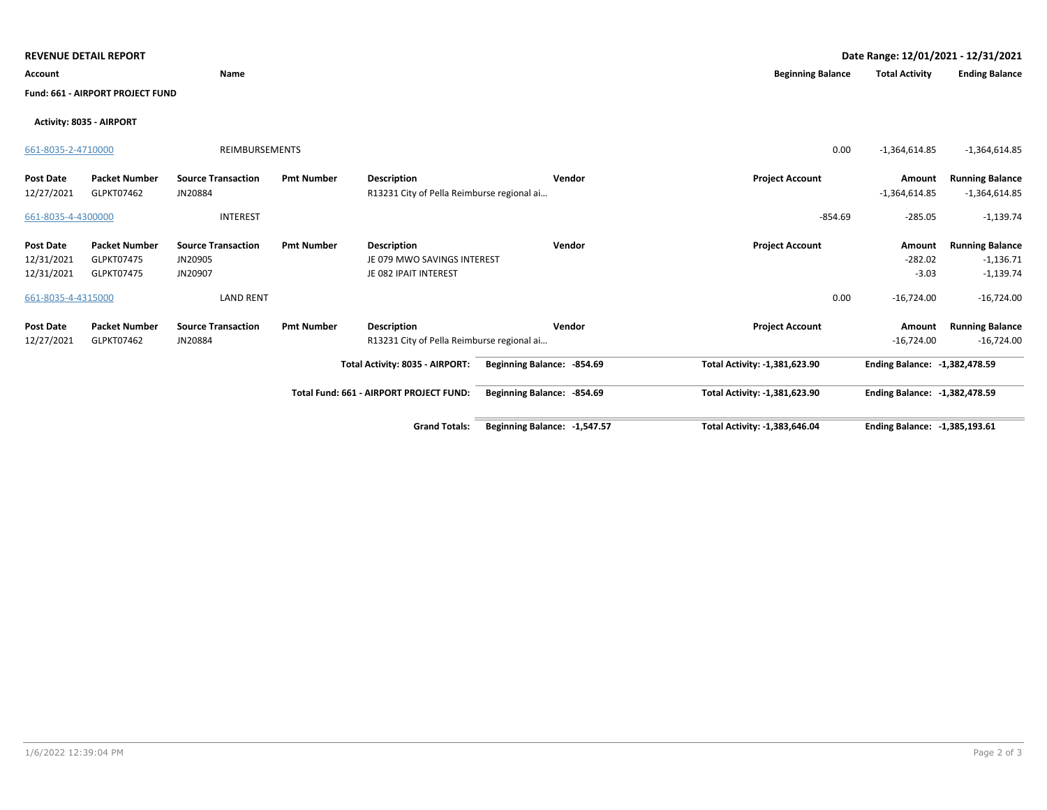|                    | <b>REVENUE DETAIL REPORT</b>     |                           |                   |                                            |                              |                               | Date Range: 12/01/2021 - 12/31/2021 |                        |
|--------------------|----------------------------------|---------------------------|-------------------|--------------------------------------------|------------------------------|-------------------------------|-------------------------------------|------------------------|
| Account            |                                  | Name                      |                   |                                            |                              | <b>Beginning Balance</b>      | <b>Total Activity</b>               | <b>Ending Balance</b>  |
|                    | Fund: 661 - AIRPORT PROJECT FUND |                           |                   |                                            |                              |                               |                                     |                        |
|                    | Activity: 8035 - AIRPORT         |                           |                   |                                            |                              |                               |                                     |                        |
| 661-8035-2-4710000 |                                  | <b>REIMBURSEMENTS</b>     |                   |                                            |                              | 0.00                          | $-1,364,614.85$                     | $-1,364,614.85$        |
| <b>Post Date</b>   | <b>Packet Number</b>             | <b>Source Transaction</b> | <b>Pmt Number</b> | <b>Description</b>                         | Vendor                       | <b>Project Account</b>        | Amount                              | <b>Running Balance</b> |
| 12/27/2021         | GLPKT07462                       | JN20884                   |                   | R13231 City of Pella Reimburse regional ai |                              |                               | $-1,364,614.85$                     | $-1,364,614.85$        |
| 661-8035-4-4300000 |                                  | <b>INTEREST</b>           |                   |                                            |                              | $-854.69$                     | $-285.05$                           | $-1,139.74$            |
| <b>Post Date</b>   | <b>Packet Number</b>             | <b>Source Transaction</b> | <b>Pmt Number</b> | <b>Description</b>                         | Vendor                       | <b>Project Account</b>        | Amount                              | <b>Running Balance</b> |
| 12/31/2021         | GLPKT07475                       | JN20905                   |                   | JE 079 MWO SAVINGS INTEREST                |                              |                               | $-282.02$                           | $-1,136.71$            |
| 12/31/2021         | GLPKT07475                       | JN20907                   |                   | JE 082 IPAIT INTEREST                      |                              |                               | $-3.03$                             | $-1,139.74$            |
| 661-8035-4-4315000 |                                  | <b>LAND RENT</b>          |                   |                                            |                              | 0.00                          | $-16,724.00$                        | $-16,724.00$           |
| <b>Post Date</b>   | <b>Packet Number</b>             | <b>Source Transaction</b> | <b>Pmt Number</b> | <b>Description</b>                         | Vendor                       | <b>Project Account</b>        | Amount                              | <b>Running Balance</b> |
| 12/27/2021         | GLPKT07462                       | JN20884                   |                   | R13231 City of Pella Reimburse regional ai |                              |                               | $-16,724.00$                        | $-16,724.00$           |
|                    |                                  |                           |                   | Total Activity: 8035 - AIRPORT:            | Beginning Balance: - 854.69  | Total Activity: -1,381,623.90 | Ending Balance: -1.382.478.59       |                        |
|                    |                                  |                           |                   | Total Fund: 661 - AIRPORT PROJECT FUND:    | Beginning Balance: - 854.69  | Total Activity: -1,381,623.90 | Ending Balance: -1,382,478.59       |                        |
|                    |                                  |                           |                   | <b>Grand Totals:</b>                       | Beginning Balance: -1,547.57 | Total Activity: -1,383,646.04 | Ending Balance: -1,385,193.61       |                        |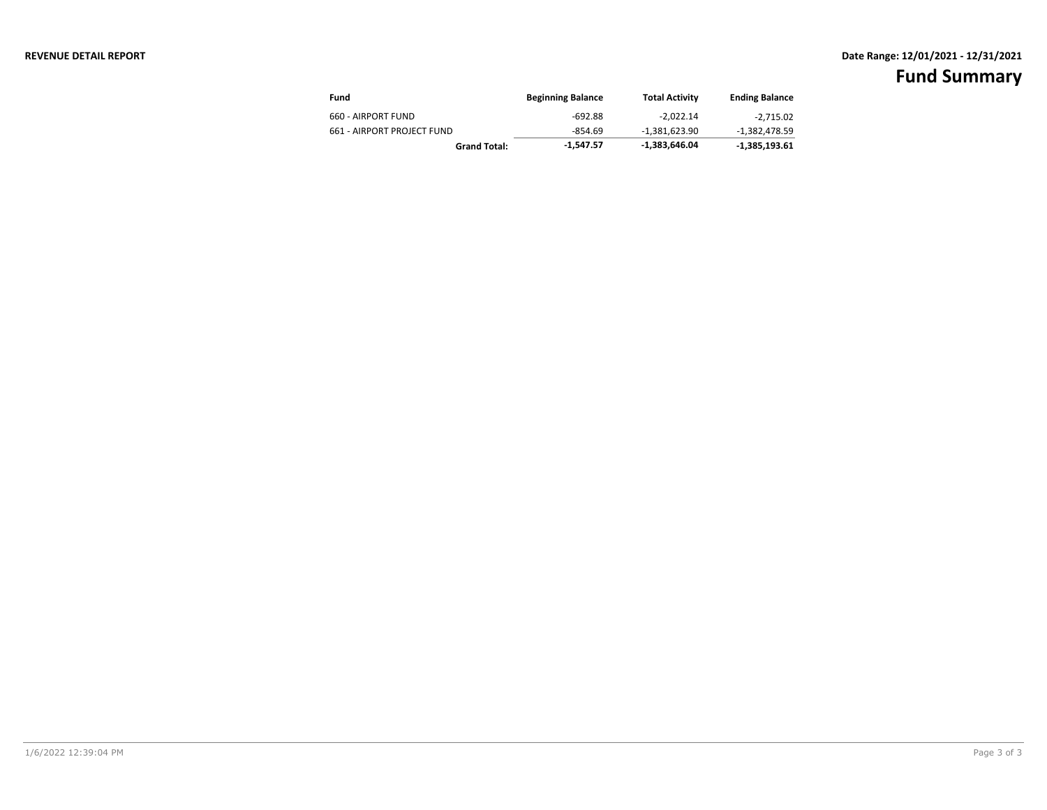### **REVENUE DETAIL REPORT Date Range: 12/01/2021 - 12/31/2021**

| Fund                       | <b>Beginning Balance</b> | <b>Total Activity</b> | <b>Ending Balance</b> |
|----------------------------|--------------------------|-----------------------|-----------------------|
| 660 - AIRPORT FUND         | $-692.88$                | $-2.022.14$           | -2,715.02             |
| 661 - AIRPORT PROJECT FUND | -854.69                  | $-1.381.623.90$       | -1,382,478.59         |
| <b>Grand Total:</b>        | -1.547.57                | -1,383,646.04         | $-1,385,193.61$       |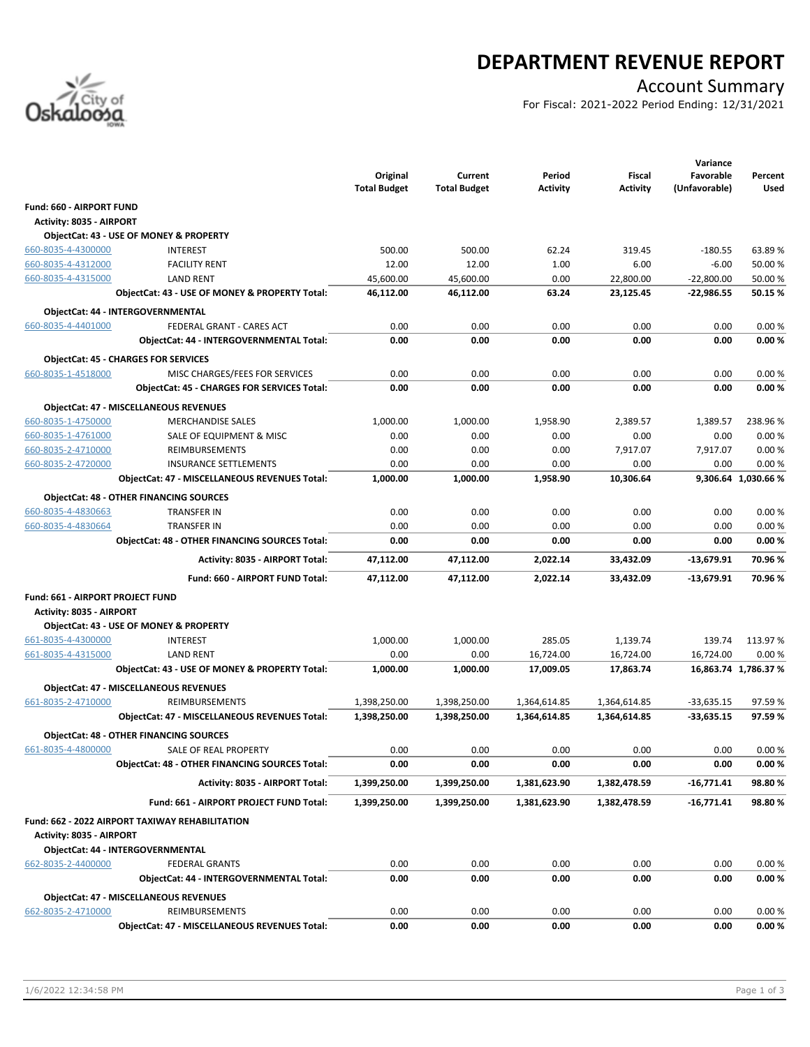

## **DEPARTMENT REVENUE REPORT**

### Account Summary

For Fiscal: 2021-2022 Period Ending: 12/31/2021

|                                         |                                                                                | Original            | Current             | Period          | <b>Fiscal</b>   | Variance<br>Favorable | Percent              |
|-----------------------------------------|--------------------------------------------------------------------------------|---------------------|---------------------|-----------------|-----------------|-----------------------|----------------------|
|                                         |                                                                                | <b>Total Budget</b> | <b>Total Budget</b> | <b>Activity</b> | <b>Activity</b> | (Unfavorable)         | Used                 |
| Fund: 660 - AIRPORT FUND                |                                                                                |                     |                     |                 |                 |                       |                      |
| Activity: 8035 - AIRPORT                |                                                                                |                     |                     |                 |                 |                       |                      |
|                                         | ObjectCat: 43 - USE OF MONEY & PROPERTY                                        |                     |                     |                 |                 |                       |                      |
| 660-8035-4-4300000                      | <b>INTEREST</b>                                                                | 500.00              | 500.00              | 62.24           | 319.45          | $-180.55$             | 63.89%               |
| 660-8035-4-4312000                      | <b>FACILITY RENT</b>                                                           | 12.00               | 12.00               | 1.00            | 6.00            | $-6.00$               | 50.00%               |
| 660-8035-4-4315000                      | <b>LAND RENT</b>                                                               | 45,600.00           | 45,600.00           | 0.00            | 22,800.00       | $-22,800.00$          | 50.00 %              |
|                                         | ObjectCat: 43 - USE OF MONEY & PROPERTY Total:                                 | 46,112.00           | 46,112.00           | 63.24           | 23,125.45       | $-22,986.55$          | 50.15%               |
|                                         | ObjectCat: 44 - INTERGOVERNMENTAL                                              |                     |                     |                 |                 |                       |                      |
| 660-8035-4-4401000                      | FEDERAL GRANT - CARES ACT                                                      | 0.00                | 0.00                | 0.00            | 0.00            | 0.00                  | 0.00%                |
|                                         | ObjectCat: 44 - INTERGOVERNMENTAL Total:                                       | 0.00                | 0.00                | 0.00            | 0.00            | 0.00                  | 0.00%                |
|                                         |                                                                                |                     |                     |                 |                 |                       |                      |
|                                         | <b>ObjectCat: 45 - CHARGES FOR SERVICES</b>                                    |                     |                     |                 |                 |                       |                      |
| 660-8035-1-4518000                      | MISC CHARGES/FEES FOR SERVICES                                                 | 0.00                | 0.00                | 0.00            | 0.00            | 0.00                  | 0.00%                |
|                                         | <b>ObjectCat: 45 - CHARGES FOR SERVICES Total:</b>                             | 0.00                | 0.00                | 0.00            | 0.00            | 0.00                  | 0.00%                |
|                                         | <b>ObjectCat: 47 - MISCELLANEOUS REVENUES</b>                                  |                     |                     |                 |                 |                       |                      |
| 660-8035-1-4750000                      | <b>MERCHANDISE SALES</b>                                                       | 1,000.00            | 1,000.00            | 1,958.90        | 2,389.57        | 1,389.57              | 238.96%              |
| 660-8035-1-4761000                      | SALE OF EQUIPMENT & MISC                                                       | 0.00                | 0.00                | 0.00            | 0.00            | 0.00                  | 0.00%                |
| 660-8035-2-4710000                      | REIMBURSEMENTS                                                                 | 0.00                | 0.00                | 0.00            | 7,917.07        | 7,917.07              | 0.00%                |
| 660-8035-2-4720000                      | <b>INSURANCE SETTLEMENTS</b>                                                   | 0.00                | 0.00                | 0.00            | 0.00            | 0.00                  | 0.00%                |
|                                         | <b>ObjectCat: 47 - MISCELLANEOUS REVENUES Total:</b>                           | 1,000.00            | 1,000.00            | 1,958.90        | 10,306.64       |                       | 9,306.64 1,030.66 %  |
|                                         | <b>ObjectCat: 48 - OTHER FINANCING SOURCES</b>                                 |                     |                     |                 |                 |                       |                      |
| 660-8035-4-4830663                      | <b>TRANSFER IN</b>                                                             | 0.00                | 0.00                | 0.00            | 0.00            | 0.00                  | 0.00%                |
| 660-8035-4-4830664                      | <b>TRANSFER IN</b>                                                             | 0.00                | 0.00                | 0.00            | 0.00            | 0.00                  | 0.00%                |
|                                         | <b>ObjectCat: 48 - OTHER FINANCING SOURCES Total:</b>                          | 0.00                | 0.00                | 0.00            | 0.00            | 0.00                  | 0.00%                |
|                                         | Activity: 8035 - AIRPORT Total:                                                | 47,112.00           | 47,112.00           | 2,022.14        | 33,432.09       | $-13,679.91$          | 70.96%               |
|                                         | Fund: 660 - AIRPORT FUND Total:                                                | 47,112.00           | 47,112.00           | 2,022.14        | 33,432.09       | -13,679.91            | 70.96%               |
| <b>Fund: 661 - AIRPORT PROJECT FUND</b> |                                                                                |                     |                     |                 |                 |                       |                      |
| Activity: 8035 - AIRPORT                |                                                                                |                     |                     |                 |                 |                       |                      |
|                                         | ObjectCat: 43 - USE OF MONEY & PROPERTY                                        |                     |                     |                 |                 |                       |                      |
| 661-8035-4-4300000                      | <b>INTEREST</b>                                                                | 1,000.00            | 1,000.00            | 285.05          | 1,139.74        | 139.74                | 113.97%              |
| 661-8035-4-4315000                      | <b>LAND RENT</b>                                                               | 0.00                | 0.00                | 16,724.00       | 16,724.00       | 16,724.00             | 0.00%                |
|                                         | ObjectCat: 43 - USE OF MONEY & PROPERTY Total:                                 | 1,000.00            | 1,000.00            | 17,009.05       | 17,863.74       |                       | 16,863.74 1,786.37 % |
|                                         | ObjectCat: 47 - MISCELLANEOUS REVENUES                                         |                     |                     |                 |                 |                       |                      |
| 661-8035-2-4710000                      | REIMBURSEMENTS                                                                 | 1,398,250.00        | 1,398,250.00        | 1,364,614.85    | 1,364,614.85    | $-33,635.15$          | 97.59%               |
|                                         | <b>ObjectCat: 47 - MISCELLANEOUS REVENUES Total:</b>                           | 1,398,250.00        | 1,398,250.00        | 1,364,614.85    | 1,364,614.85    | -33,635.15            | 97.59%               |
|                                         |                                                                                |                     |                     |                 |                 |                       |                      |
|                                         | <b>ObjectCat: 48 - OTHER FINANCING SOURCES</b>                                 |                     |                     |                 |                 |                       |                      |
| 661-8035-4-4800000                      | SALE OF REAL PROPERTY<br><b>ObjectCat: 48 - OTHER FINANCING SOURCES Total:</b> | 0.00                | 0.00                | 0.00            | 0.00            | 0.00                  | 0.00%                |
|                                         |                                                                                | 0.00                | 0.00                | 0.00            | 0.00            | 0.00                  | 0.00%                |
|                                         | Activity: 8035 - AIRPORT Total:                                                | 1,399,250.00        | 1,399,250.00        | 1,381,623.90    | 1,382,478.59    | $-16,771.41$          | 98.80%               |
|                                         | Fund: 661 - AIRPORT PROJECT FUND Total:                                        | 1,399,250.00        | 1,399,250.00        | 1,381,623.90    | 1,382,478.59    | -16,771.41            | 98.80%               |
| Activity: 8035 - AIRPORT                | Fund: 662 - 2022 AIRPORT TAXIWAY REHABILITATION                                |                     |                     |                 |                 |                       |                      |
|                                         | ObjectCat: 44 - INTERGOVERNMENTAL                                              |                     |                     |                 |                 |                       |                      |
| 662-8035-2-4400000                      | <b>FEDERAL GRANTS</b>                                                          | 0.00                | 0.00                | 0.00            | 0.00            | 0.00                  | 0.00%                |
|                                         | ObjectCat: 44 - INTERGOVERNMENTAL Total:                                       | 0.00                | 0.00                | 0.00            | 0.00            | 0.00                  | 0.00%                |
|                                         |                                                                                |                     |                     |                 |                 |                       |                      |
|                                         | <b>ObjectCat: 47 - MISCELLANEOUS REVENUES</b>                                  |                     |                     |                 |                 |                       |                      |
| 662-8035-2-4710000                      | REIMBURSEMENTS                                                                 | 0.00                | 0.00                | 0.00            | 0.00            | 0.00                  | 0.00%                |
|                                         | ObjectCat: 47 - MISCELLANEOUS REVENUES Total:                                  | 0.00                | 0.00                | 0.00            | 0.00            | 0.00                  | 0.00%                |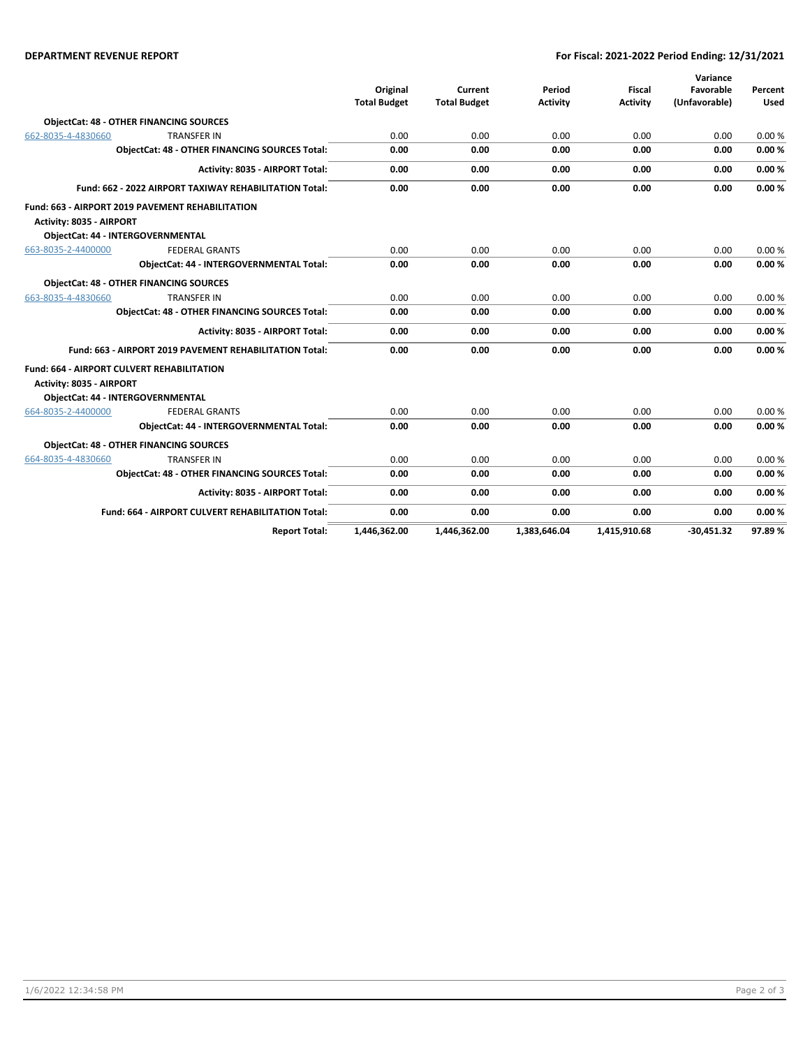#### **DEPARTMENT REVENUE REPORT For Fiscal: 2021-2022 Period Ending: 12/31/2021**

|                                                        |                                                          |                     |                     |                 |                 | Variance      |             |
|--------------------------------------------------------|----------------------------------------------------------|---------------------|---------------------|-----------------|-----------------|---------------|-------------|
|                                                        |                                                          | Original            | Current             | Period          | <b>Fiscal</b>   | Favorable     | Percent     |
|                                                        |                                                          | <b>Total Budget</b> | <b>Total Budget</b> | <b>Activity</b> | <b>Activity</b> | (Unfavorable) | <b>Used</b> |
|                                                        | <b>ObjectCat: 48 - OTHER FINANCING SOURCES</b>           |                     |                     |                 |                 |               |             |
| 662-8035-4-4830660                                     | <b>TRANSFER IN</b>                                       | 0.00                | 0.00                | 0.00            | 0.00            | 0.00          | 0.00%       |
|                                                        | <b>ObjectCat: 48 - OTHER FINANCING SOURCES Total:</b>    | 0.00                | 0.00                | 0.00            | 0.00            | 0.00          | 0.00%       |
|                                                        | Activity: 8035 - AIRPORT Total:                          | 0.00                | 0.00                | 0.00            | 0.00            | 0.00          | 0.00%       |
| Fund: 662 - 2022 AIRPORT TAXIWAY REHABILITATION Total: |                                                          | 0.00                | 0.00                | 0.00            | 0.00            | 0.00          | 0.00%       |
|                                                        | Fund: 663 - AIRPORT 2019 PAVEMENT REHABILITATION         |                     |                     |                 |                 |               |             |
| Activity: 8035 - AIRPORT                               |                                                          |                     |                     |                 |                 |               |             |
|                                                        | ObjectCat: 44 - INTERGOVERNMENTAL                        |                     |                     |                 |                 |               |             |
| 663-8035-2-4400000                                     | <b>FEDERAL GRANTS</b>                                    | 0.00                | 0.00                | 0.00            | 0.00            | 0.00          | 0.00%       |
|                                                        | ObjectCat: 44 - INTERGOVERNMENTAL Total:                 | 0.00                | 0.00                | 0.00            | 0.00            | 0.00          | 0.00%       |
|                                                        | <b>ObjectCat: 48 - OTHER FINANCING SOURCES</b>           |                     |                     |                 |                 |               |             |
| 663-8035-4-4830660                                     | <b>TRANSFER IN</b>                                       | 0.00                | 0.00                | 0.00            | 0.00            | 0.00          | 0.00%       |
|                                                        | <b>ObjectCat: 48 - OTHER FINANCING SOURCES Total:</b>    | 0.00                | 0.00                | 0.00            | 0.00            | 0.00          | 0.00%       |
|                                                        | Activity: 8035 - AIRPORT Total:                          | 0.00                | 0.00                | 0.00            | 0.00            | 0.00          | 0.00%       |
|                                                        | Fund: 663 - AIRPORT 2019 PAVEMENT REHABILITATION Total:  | 0.00                | 0.00                | 0.00            | 0.00            | 0.00          | 0.00%       |
|                                                        | <b>Fund: 664 - AIRPORT CULVERT REHABILITATION</b>        |                     |                     |                 |                 |               |             |
| Activity: 8035 - AIRPORT                               |                                                          |                     |                     |                 |                 |               |             |
|                                                        | <b>ObjectCat: 44 - INTERGOVERNMENTAL</b>                 |                     |                     |                 |                 |               |             |
| 664-8035-2-4400000                                     | <b>FEDERAL GRANTS</b>                                    | 0.00                | 0.00                | 0.00            | 0.00            | 0.00          | 0.00%       |
|                                                        | ObjectCat: 44 - INTERGOVERNMENTAL Total:                 | 0.00                | 0.00                | 0.00            | 0.00            | 0.00          | 0.00%       |
|                                                        | <b>ObjectCat: 48 - OTHER FINANCING SOURCES</b>           |                     |                     |                 |                 |               |             |
| 664-8035-4-4830660                                     | <b>TRANSFER IN</b>                                       | 0.00                | 0.00                | 0.00            | 0.00            | 0.00          | 0.00%       |
|                                                        | <b>ObjectCat: 48 - OTHER FINANCING SOURCES Total:</b>    | 0.00                | 0.00                | 0.00            | 0.00            | 0.00          | 0.00%       |
|                                                        | Activity: 8035 - AIRPORT Total:                          | 0.00                | 0.00                | 0.00            | 0.00            | 0.00          | 0.00%       |
|                                                        | <b>Fund: 664 - AIRPORT CULVERT REHABILITATION Total:</b> | 0.00                | 0.00                | 0.00            | 0.00            | 0.00          | 0.00%       |
|                                                        | <b>Report Total:</b>                                     | 1.446.362.00        | 1.446.362.00        | 1.383.646.04    | 1.415.910.68    | $-30.451.32$  | 97.89%      |